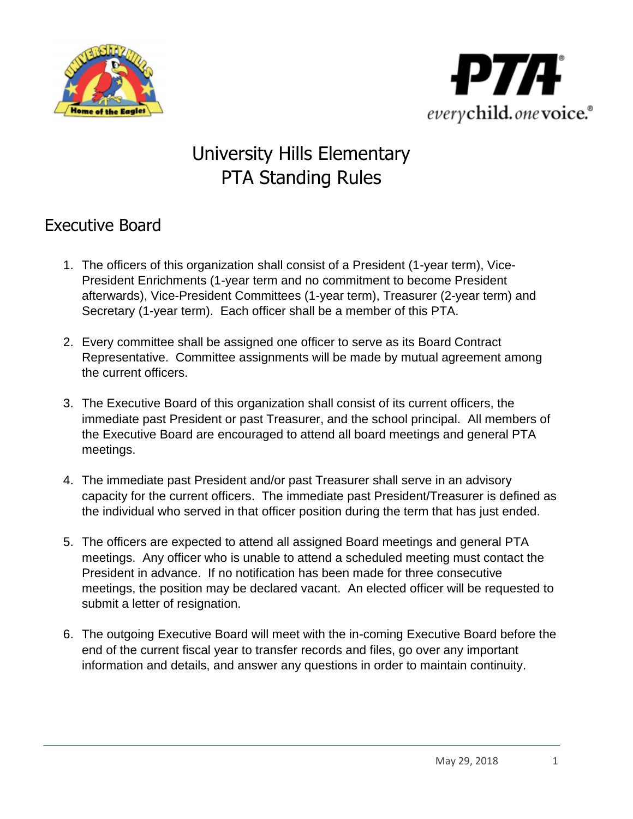



# University Hills Elementary PTA Standing Rules

## Executive Board

- 1. The officers of this organization shall consist of a President (1-year term), Vice-President Enrichments (1-year term and no commitment to become President afterwards), Vice-President Committees (1-year term), Treasurer (2-year term) and Secretary (1-year term). Each officer shall be a member of this PTA.
- 2. Every committee shall be assigned one officer to serve as its Board Contract Representative. Committee assignments will be made by mutual agreement among the current officers.
- 3. The Executive Board of this organization shall consist of its current officers, the immediate past President or past Treasurer, and the school principal. All members of the Executive Board are encouraged to attend all board meetings and general PTA meetings.
- 4. The immediate past President and/or past Treasurer shall serve in an advisory capacity for the current officers. The immediate past President/Treasurer is defined as the individual who served in that officer position during the term that has just ended.
- 5. The officers are expected to attend all assigned Board meetings and general PTA meetings. Any officer who is unable to attend a scheduled meeting must contact the President in advance. If no notification has been made for three consecutive meetings, the position may be declared vacant. An elected officer will be requested to submit a letter of resignation.
- 6. The outgoing Executive Board will meet with the in-coming Executive Board before the end of the current fiscal year to transfer records and files, go over any important information and details, and answer any questions in order to maintain continuity.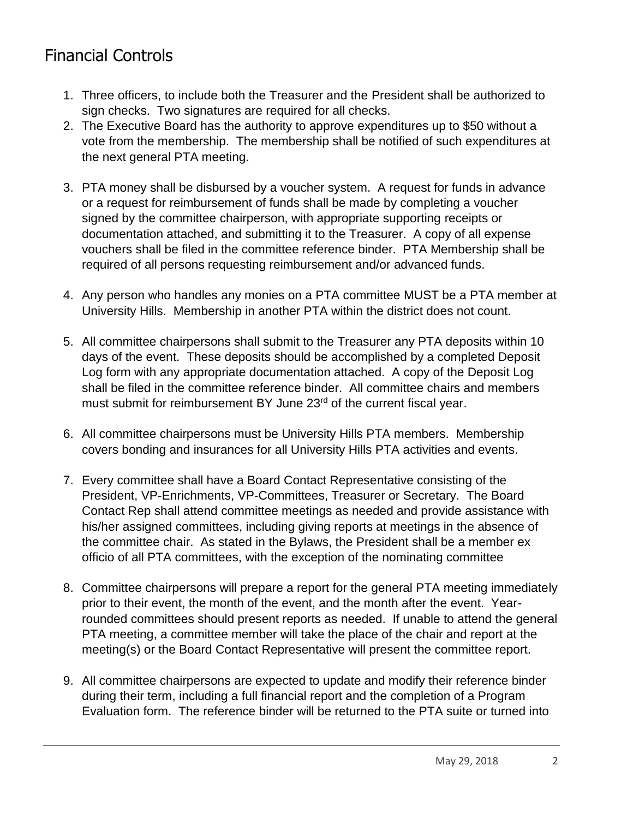## Financial Controls

- 1. Three officers, to include both the Treasurer and the President shall be authorized to sign checks. Two signatures are required for all checks.
- 2. The Executive Board has the authority to approve expenditures up to \$50 without a vote from the membership. The membership shall be notified of such expenditures at the next general PTA meeting.
- 3. PTA money shall be disbursed by a voucher system. A request for funds in advance or a request for reimbursement of funds shall be made by completing a voucher signed by the committee chairperson, with appropriate supporting receipts or documentation attached, and submitting it to the Treasurer. A copy of all expense vouchers shall be filed in the committee reference binder. PTA Membership shall be required of all persons requesting reimbursement and/or advanced funds.
- 4. Any person who handles any monies on a PTA committee MUST be a PTA member at University Hills. Membership in another PTA within the district does not count.
- 5. All committee chairpersons shall submit to the Treasurer any PTA deposits within 10 days of the event. These deposits should be accomplished by a completed Deposit Log form with any appropriate documentation attached. A copy of the Deposit Log shall be filed in the committee reference binder. All committee chairs and members must submit for reimbursement BY June 23<sup>rd</sup> of the current fiscal year.
- 6. All committee chairpersons must be University Hills PTA members. Membership covers bonding and insurances for all University Hills PTA activities and events.
- 7. Every committee shall have a Board Contact Representative consisting of the President, VP-Enrichments, VP-Committees, Treasurer or Secretary. The Board Contact Rep shall attend committee meetings as needed and provide assistance with his/her assigned committees, including giving reports at meetings in the absence of the committee chair. As stated in the Bylaws, the President shall be a member ex officio of all PTA committees, with the exception of the nominating committee
- 8. Committee chairpersons will prepare a report for the general PTA meeting immediately prior to their event, the month of the event, and the month after the event. Yearrounded committees should present reports as needed. If unable to attend the general PTA meeting, a committee member will take the place of the chair and report at the meeting(s) or the Board Contact Representative will present the committee report.
- 9. All committee chairpersons are expected to update and modify their reference binder during their term, including a full financial report and the completion of a Program Evaluation form. The reference binder will be returned to the PTA suite or turned into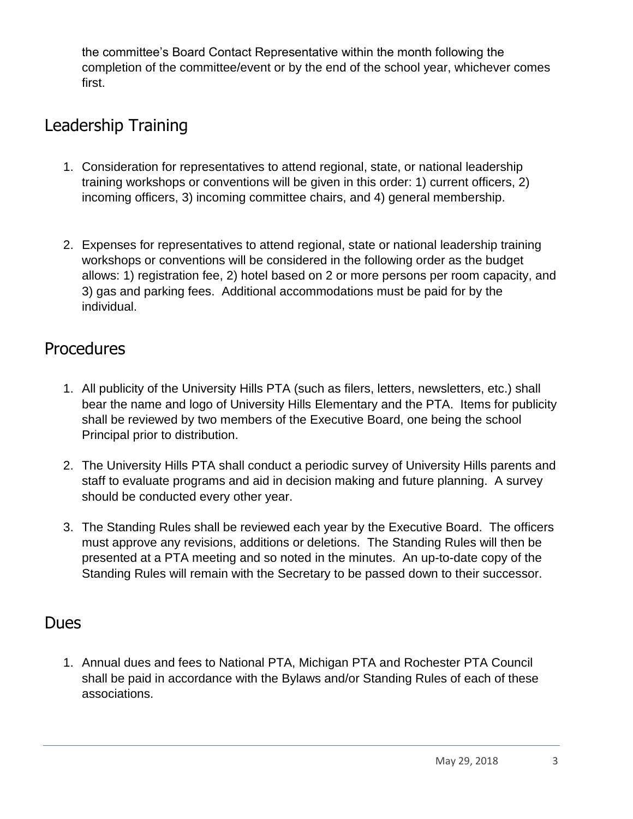the committee's Board Contact Representative within the month following the completion of the committee/event or by the end of the school year, whichever comes first.

## Leadership Training

- 1. Consideration for representatives to attend regional, state, or national leadership training workshops or conventions will be given in this order: 1) current officers, 2) incoming officers, 3) incoming committee chairs, and 4) general membership.
- 2. Expenses for representatives to attend regional, state or national leadership training workshops or conventions will be considered in the following order as the budget allows: 1) registration fee, 2) hotel based on 2 or more persons per room capacity, and 3) gas and parking fees. Additional accommodations must be paid for by the individual.

#### **Procedures**

- 1. All publicity of the University Hills PTA (such as filers, letters, newsletters, etc.) shall bear the name and logo of University Hills Elementary and the PTA. Items for publicity shall be reviewed by two members of the Executive Board, one being the school Principal prior to distribution.
- 2. The University Hills PTA shall conduct a periodic survey of University Hills parents and staff to evaluate programs and aid in decision making and future planning. A survey should be conducted every other year.
- 3. The Standing Rules shall be reviewed each year by the Executive Board. The officers must approve any revisions, additions or deletions. The Standing Rules will then be presented at a PTA meeting and so noted in the minutes. An up-to-date copy of the Standing Rules will remain with the Secretary to be passed down to their successor.

#### Dues

1. Annual dues and fees to National PTA, Michigan PTA and Rochester PTA Council shall be paid in accordance with the Bylaws and/or Standing Rules of each of these associations.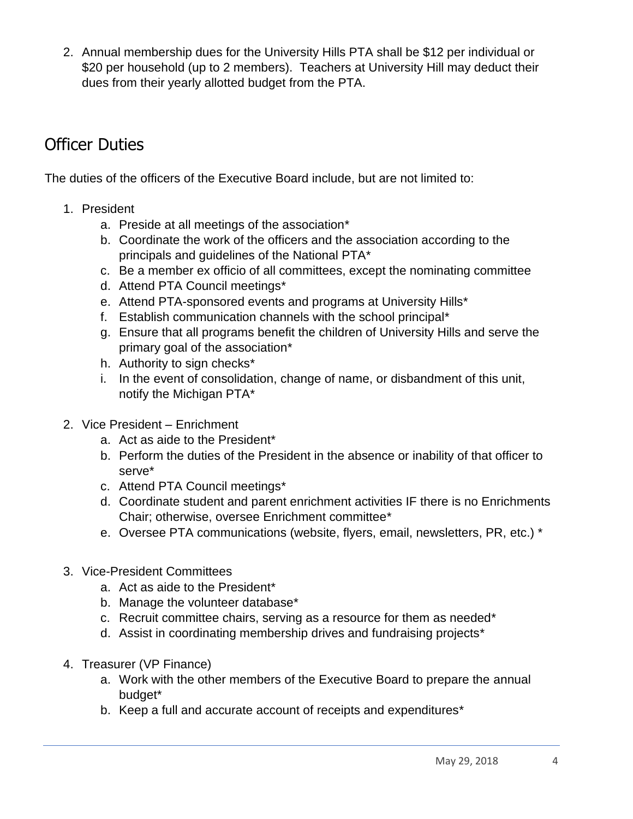2. Annual membership dues for the University Hills PTA shall be \$12 per individual or \$20 per household (up to 2 members). Teachers at University Hill may deduct their dues from their yearly allotted budget from the PTA.

#### Officer Duties

The duties of the officers of the Executive Board include, but are not limited to:

- 1. President
	- a. Preside at all meetings of the association\*
	- b. Coordinate the work of the officers and the association according to the principals and guidelines of the National PTA\*
	- c. Be a member ex officio of all committees, except the nominating committee
	- d. Attend PTA Council meetings\*
	- e. Attend PTA-sponsored events and programs at University Hills\*
	- f. Establish communication channels with the school principal\*
	- g. Ensure that all programs benefit the children of University Hills and serve the primary goal of the association\*
	- h. Authority to sign checks\*
	- i. In the event of consolidation, change of name, or disbandment of this unit, notify the Michigan PTA\*
- 2. Vice President Enrichment
	- a. Act as aide to the President\*
	- b. Perform the duties of the President in the absence or inability of that officer to serve\*
	- c. Attend PTA Council meetings\*
	- d. Coordinate student and parent enrichment activities IF there is no Enrichments Chair; otherwise, oversee Enrichment committee\*
	- e. Oversee PTA communications (website, flyers, email, newsletters, PR, etc.) \*
- 3. Vice-President Committees
	- a. Act as aide to the President\*
	- b. Manage the volunteer database\*
	- c. Recruit committee chairs, serving as a resource for them as needed\*
	- d. Assist in coordinating membership drives and fundraising projects\*
- 4. Treasurer (VP Finance)
	- a. Work with the other members of the Executive Board to prepare the annual budget\*
	- b. Keep a full and accurate account of receipts and expenditures\*